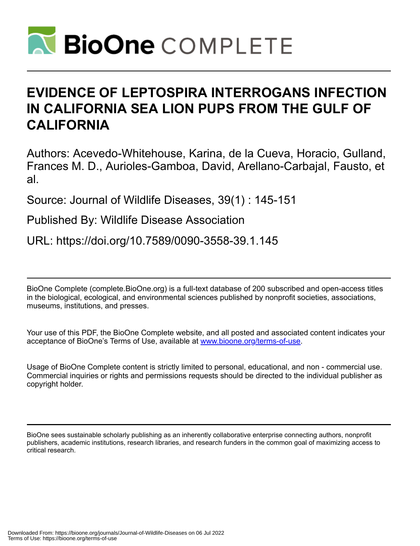

# **EVIDENCE OF LEPTOSPIRA INTERROGANS INFECTION IN CALIFORNIA SEA LION PUPS FROM THE GULF OF CALIFORNIA**

Authors: Acevedo-Whitehouse, Karina, de la Cueva, Horacio, Gulland, Frances M. D., Aurioles-Gamboa, David, Arellano-Carbajal, Fausto, et al.

Source: Journal of Wildlife Diseases, 39(1) : 145-151

Published By: Wildlife Disease Association

URL: https://doi.org/10.7589/0090-3558-39.1.145

BioOne Complete (complete.BioOne.org) is a full-text database of 200 subscribed and open-access titles in the biological, ecological, and environmental sciences published by nonprofit societies, associations, museums, institutions, and presses.

Your use of this PDF, the BioOne Complete website, and all posted and associated content indicates your acceptance of BioOne's Terms of Use, available at www.bioone.org/terms-of-use.

Usage of BioOne Complete content is strictly limited to personal, educational, and non - commercial use. Commercial inquiries or rights and permissions requests should be directed to the individual publisher as copyright holder.

BioOne sees sustainable scholarly publishing as an inherently collaborative enterprise connecting authors, nonprofit publishers, academic institutions, research libraries, and research funders in the common goal of maximizing access to critical research.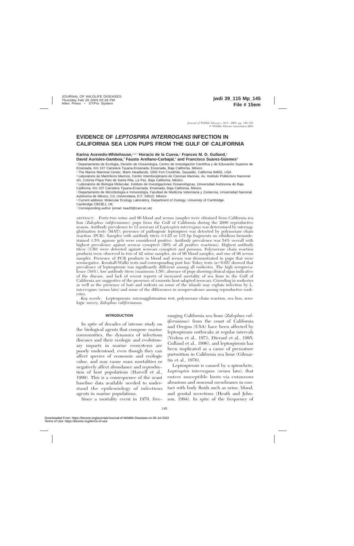# **EVIDENCE OF LEPTOSPIRA INTERROGANS INFECTION IN CALIFORNIA SEA LION PUPS FROM THE GULF OF CALIFORNIA**

**Karina Acevedo-Whitehouse,**1,6,7 **Horacio de la Cueva,**<sup>1</sup> **Frances M. D. Gulland,**<sup>2</sup> **David Aurioles-Gamboa,<sup>3</sup> Fausto Arellano-Carbajal,<sup>4</sup> and Francisco Suarez-Güemes<sup>5</sup>** 

<sup>1</sup> Departamento de Ecología, División de Oceanología, Centro de Investigación Científica y de Educación Superior de Ensenada. Km 107 Carretera Tijuana-Ensenada. Ensenada, Baja California, México

<sup>2</sup> The Marine Mammal Center, Marin Headlands, 1065 Fort Cronkhite, Sausalito, California 94965, USA

<sup>3</sup> Laboratorio de Mamíferos Marinos, Centro Interdisciplinario de Ciencias Marinas, Av. Instituto Politécnico Nacional s/n, Colonia Playa Palo de Santa Rita, La Paz, Baja California, México

<sup>4</sup> Laboratorio de Biología Molecular, Instituto de Investigaciones Oceanológicas, Universidad Autónoma de Baja California, Km 107 Carretera Tijuana-Ensenada. Ensenada, Baja California, México

<sup>5</sup> Departamento de Microbiología e Inmunología, Facultad de Medicina Veterinaria y Zootecnia, Universidad Nacional Autónoma de México, Cd. Universitaria, D.F. 04510, México

<sup>6</sup> Current address: Molecular Ecology Laboratory, Department of Zoology, University of Cambridge,

Cambridge CB23EJ, UK

<sup>7</sup> Corresponding author (email: kaa29@cam.ac.uk)

ABSTRACT: Forty-two urine and 96 blood and serum samples were obtained from California sea lion (*Zalophus californianus)* pups from the Gulf of California during the 2000 reproductive season. Antibody prevalence to 13 serovars of *Leptospira interrogans* was determined by microagglutination tests (MAT); presence of pathogenic leptospires was detected by polymerase chain reaction (PCR). Samples with antibody titers  $\geq 1:25$  or 115 bp fragments on ethidium bromidestained 1.5% agarose gels were considered positive. Antibody prevalence was 54% overall with highest prevalence against serovar cynopteri (50% of all positive reactions). Highest antibody titers (1:50) were detected against serovars cynopteri and pomona. Polymerase chain reaction products were observed in two of 42 urine samples, six of 96 blood samples, and one of 96 serum samples. Presence of PCR products in blood and serum was demonstrated in pups that were seronegative. Kruskall-Wallis tests and corresponding post hoc Tukey tests ( $\alpha=0.05$ ) showed that prevalence of leptospirosis was significantly different among all rookeries. The high seroprevalence (54%), low antibody titers (maximum 1:50), absence of pups showing clinical signs indicative of the disease, and lack of recent reports of increased mortality of sea lions in the Gulf of California are suggestive of the presence of enzootic host-adapted serovars. Crowding in rookeries as well as the presence of bats and rodents on some of the islands may explain infection by *L. interrogans* (sensu lato) and some of the differences in seroprevalence among reproductive rookeries.

*Key words:* Leptospirosis, microagglutination test, polymerase chain reaction, sea lion, serologic survey, *Zalophus californianus.*

# **INTRODUCTION**

In spite of decades of intense study on the biological agents that compose marine communities, the dynamics of infectious diseases and their ecologic and evolutionary impacts in marine ecosystems are poorly understood, even though they can affect species of economic and ecologic value, and may cause mass mortalities or negatively affect abundance and reproduction of host populations (Harvell et al., 1999). This is a consequence of the scant baseline data available needed to understand the epidemiology of infectious agents in marine populations.

Since a mortality event in 1970, free-

ranging California sea lions (*Zalophus californianus*) from the coast of California and Oregon (USA) have been affected by leptospirosis outbreaks at regular intervals (Vedros et al., 1971; Dierauf et al., 1985; Gulland et al., 1996), and leptospirosis has been implicated as a cause of premature parturition in California sea lions (Gilmartin et al., 1976).

Leptospirosis is caused by a spirochete, *Leptospira interrogans* (sensu lato), that enters susceptible hosts via cutaneous abrasions and mucosal membranes in contact with body fluids such as urine, blood, and genital secretions (Heath and Johnson, 1994). In spite of the frequency of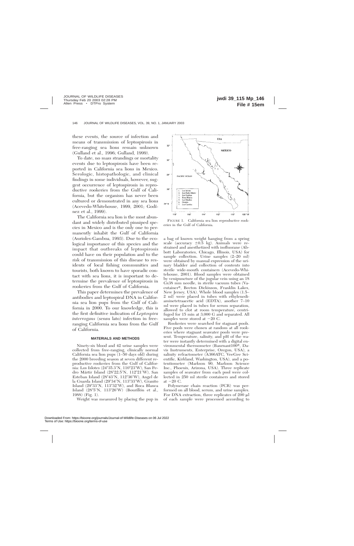these events, the source of infection and means of transmission of leptospirosis in free-ranging sea lions remain unknown (Gulland et al., 1996; Gulland, 1999).

To date, no mass strandings or mortality events due to leptospirosis have been reported in California sea lions in Mexico. Serologic, histopathologic, and clinical findings in some individuals, however, suggest occurrence of leptospirosis in reproductive rookeries from the Gulf of California, but the organism has never been cultured or demonstrated in any sea lions (Acevedo-Whitehouse, 1999, 2001; Godı´ nez et al., 1999).

The California sea lion is the most abundant and widely distributed pinniped species in Mexico and is the only one to permanently inhabit the Gulf of California (Aurioles-Gamboa, 1993). Due to the ecological importance of this species and the impact that outbreaks of leptospirosis could have on their population and to the risk of transmission of this disease to residents of local fishing communities and tourists, both known to have sporadic contact with sea lions, it is important to determine the prevalence of leptospirosis in rookeries from the Gulf of California.

This paper determines the prevalence of antibodies and leptospiral DNA in California sea lion pups from the Gulf of California in 2000. To our knowledge, this is the first definitive indication of *Leptospira interrogans* (sensu lato) infection in freeranging California sea lions from the Gulf of California.

#### **MATERIALS AND METHODS**

Ninety-six blood and 42 urine samples were collected from free-ranging, clinically normal California sea lion pups (1–50 days old) during the 2000 breeding season at seven different reproductive rookeries from the Gulf of California: Los Islotes (24°35.3'N, 110°23'W), San Pedro Mártir Island (28°22.5'N, 112°21'W), San Esteban Island  $(28^{\circ}43'N, 112^{\circ}36'W)$ , Angel de la Guarda Island (29°34'N, 113°33'W), Granito Island  $(29°33'N, 113°32'W)$ , and Roca Blanca Island  $(28^{\circ}5'N, 113^{\circ}26'W)$  (Bourillón et al., 1988) (Fig. 1).

Weight was measured by placing the pup in



FIGURE 1. California sea lion reproductive rookeries in the Gulf of California.

a bag of known weight hanging from a spring scale (accuracy  $\pm 0.5$  kg). Animals were restrained and anesthetized with isofluorane (Abbott Laboratories, Chicago, Illinois, USA) for sample collection. Urine samples (2–20 ml) were obtained by manual expression of the urinary bladder and collection of contents into sterile wide-mouth containers (Acevedo-Whitehouse, 2001). Blood samples were obtained by venipuncture of the jugular vein using an 18 Gx38 mm needle, in sterile vacuum tubes (Vacutainer®, Becton Dickinson, Franklin Lakes, New Jersey, USA). Whole blood samples (1.5– 2 ml) were placed in tubes with ethylenediaminetetraacetic acid (EDTA), another 7–10 ml were placed in tubes for serum separation, allowed to clot at room temperature, centrifuged for 15 min at 3,000 G and separated. All samples were stored at  $-20$  C.

Rookeries were searched for stagnant pools. Five pools were chosen at random at all rookeries where stagnant seawater pools were present. Temperature, salinity, and pH of the water were instantly determined with a digital environmental thermometer (Banrnant $100\%$ , Davis Instruments, Enterprise, Oregon, USA), a salinity refractometer (A366ATC, VeeGee Scientific, Kirkland, Washington, USA), and a potentiometer (Markson 90, Markson Science Inc., Phoenix, Arizona, USA). Three replicate samples of seawater from each pool were collected in 250 ml sterile containers and stored at  $-20$  C.

Polymerase chain reaction (PCR) was performed on all blood, serum, and urine samples. For DNA extraction, three replicates of 200  $\mu$ . of each sample were processed according to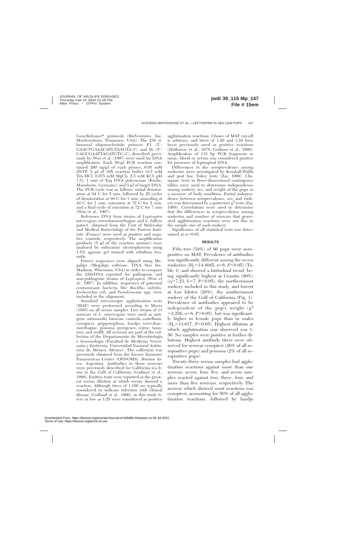GeneReleaser® protocols (BioVentures, Inc. Murfreesboro, Tennessee, USA). The 23S ribosomal oligonucleotide primers F1 (5'-GAACTGAAACATCTAAGTA-3') and Ri (5'-CAGCGAATTAGATCTG-3') described previously by Woo et al. (1997) were used for DNA amplification. Each 50-µl PCR reaction contained 200 ng/ $\mu$ l of each primer, 0.05 mM dNTP,  $5 \mu l$  of  $10X$  reaction buffer  $(0.5 \mu M)$ Tris-HCl,  $0.075$  mM  $MgCl<sub>2</sub>$  2.5 mM KCl, pH 7.5), 1 unit of Taq DNA polymerase (Roche, Mannheim, Germany), and  $5 \mu l$  of target DNA. The PCR cycle was as follows: initial denaturation at 94 C for 5 min, followed by 25 cycles of denaturation at 94 C for 1 min, annealing at 44 C for 1 min, extension at 72 C for 2 min, and a final cycle of extension at 72 C for 7 min (Woo et al., 1997).

Reference DNA from strains of *Leptospira interrogans* icterohaemorrhagiae and *L. biflexa* patoc1, obtained from the Unit of Molecular and Medical Bacteriology of the Pasteur Institute (France) were used as positive and negative controls, respectively. The amplification products  $(5 \mu)$  of the reaction mixture) were analyzed by submarine electrophoresis using 1.5% agarose gel stained with ethidium bromide.

Primer sequences were aligned using Megalign (Megalign software, DNA Star Inc, Madison, Wisconsin, USA) in order to compare the 23SrDNA reported for pathogenic and non-pathogenic strains of *Leptospira* (Woo et al., 1997). In addition, sequences of potential contaminant bacteria like *Bacillus subtilis, Escherichia coli,* and *Pseudomonas* spp. were included in the alignment.

Standard microscopic agglutination tests (MAT) were preformed according to Myers (1985) on all serum samples. Live strains of 13 serovars of *L. interrogans* were used as antigens: autumnalis, bataviae, canicola, castellonis, cynopteri, grippotyphosa, hardjo, icterohaemorrhagiae, pomona, pyrogenes, sejroe, tarassovi, and wolffi. All serovars are part of the collection of the Departamento de Microbiología e Inmunología (Facultad de Medicina Veterinaria y Zootecnia, Universidad Nacional Autónoma de México, México). The collection was previously obtained from the former Zoonoses Panamerican Center (OPS/OMS), Buenos Aires, Argentina. Antibodies to these serovars were previously described for California sea lions in the Gulf of California (Godínez et al., 1999). Positive tests were reported as the greatest serum dilution at which serum showed a reaction. Although titers of 1:100 are typically considered to indicate infection with clinical disease (Gulland et al., 1996), in this study titers as low as 1:25 were considered as positive

agglutination reactions. Choice of MAT cut-off is arbitrary, and titers of 1:20 and 1:24 have been previously used as positive reactions (Hathaway et al., 1978; Godinez et al., 1999). Amplification of 115 bp PCR fragments in urine, blood or serum was considered positive for presence of leptospiral DNA.

Differences in the seroprevalence among rookeries were investigated by Kruskall-Wallis and post hoc Tukey tests (Zar, 1999). Chisquare tests in three-dimensional contingency tables were used to determine independence among rookery, sex, and weight of the pups as a measure of body condition. Partial independence between seroprevalence, sex, and rookery was determined by a posteriori  $\chi^2$  tests (Zar, 1999). Correlations were used to determine that the differences in seroprevalence among rookeries and number of serovars that generated agglutination reactions were not due to the sample size of each rookery.

Significance of all statistical tests was determined at  $\alpha$ =0.05.

#### **RESULTS**

Fifty-two (54%) of 96 pups were seropositive on MAT. Prevalence of antibodies was significantly different among the seven rookeries (H<sub>c</sub>=14.4045,  $\nu$ =6, *P*<0.05) (Table 1) and showed a latitudinal trend, being significantly highest at Granito (90%)  $(q=7.23, k=7, P<0.05)$ , the northernmost rookery included in this study, and lowest at Los Islotes (20%), the southernmost rookery of the Gulf of California (Fig. 1). Prevalence of antibodies appeared to be independent of the pup's weight  $(\chi^2)$  $=2.256$ ,  $v=8$ ,  $P>0.05$ ), but was significantly higher in female pups than in males  $(H<sub>c</sub>=13.617, P<0.05)$ . Highest dilution at which agglutination was observed was 1: 50. No samples were positive at further dilutions. Highest antibody titers were observed for serovar cynopteri (26% of all seropositive pups) and pomona (2% of all seropositive pups).

Twenty-three serum samples had agglutination reactions against more than one serovar; seven, four, five, and seven samples reacted against two, three, four, and more than five serovars, respectively. The serovar which showed most reactions was cynopteri, accounting for 50% of all agglutination reactions, followed by hardjo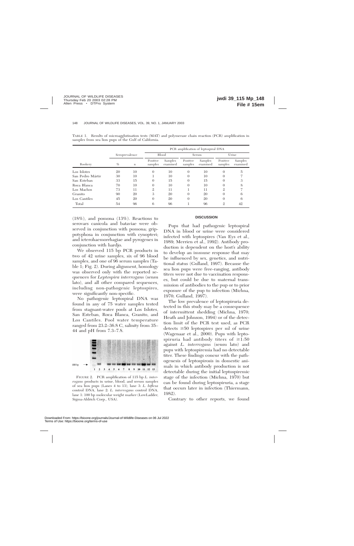|                  |                |                  | PCR amplification of leptospiral DNA |                     |                     |                     |                     |                     |
|------------------|----------------|------------------|--------------------------------------|---------------------|---------------------|---------------------|---------------------|---------------------|
|                  | Seroprevalence |                  | <b>Blood</b>                         |                     | Serum               |                     | Urine               |                     |
| Rookery          | $\%$           | $\boldsymbol{n}$ | Positive<br>samples                  | Samples<br>examined | Positive<br>samples | Samples<br>examined | Positive<br>samples | Samples<br>examined |
| Los Islotes      | 20             | 10               | $\Omega$                             | 10                  | $\Omega$            | 10                  | $\theta$            | 5                   |
| San Pedro Mártir | 30             | 10               |                                      | 10                  | $\Omega$            | 10                  | 0                   |                     |
| San Esteban      | 33             | 15               | $\Omega$                             | 15                  | $\Omega$            | 15                  | $\Omega$            |                     |
| Roca Blanca      | 70             | 10               | $\Omega$                             | 10                  | $\Omega$            | 10                  | $\Omega$            | 8                   |
| Los Machos       | 73             | 11               | $\mathfrak{2}$                       | 11                  |                     | 11                  | $\mathfrak{2}$      |                     |
| Granito          | 90             | 20               | 3                                    | 20                  | $\Omega$            | 20                  | $\Omega$            | 6                   |
| Los Cantiles     | 45             | 20               | $\Omega$                             | 20                  | $\Omega$            | 20                  | $\Omega$            | 6                   |
| Total            | 54             | 96               | 6                                    | 96                  |                     | 96                  | $\mathfrak{2}$      | 42                  |

TABLE 1. Results of microagglutination tests (MAT) and polymerase chain reaction (PCR) amplification in samples from sea lion pups of the Gulf of California.

(18%), and pomona (13%). Reactions to serovars canicola and bataviae were observed in conjunction with pomona; grippotyphosa in conjunction with cynopteri; and icterohaemorrhagiae and pyrogenes in conjunction with hardjo.

We observed 115 bp PCR products in two of 42 urine samples, six of 96 blood samples, and one of 96 serum samples (Table 1; Fig. 2). During alignment, homology was observed only with the reported sequences for *Leptospira interrogans* (sensu lato), and all other compared sequences, including non-pathogenic leptospires, were significantly non-specific.

No pathogenic leptospiral DNA was found in any of 75 water samples tested from stagnant-water pools at Los Islotes, San Esteban, Roca Blanca, Granito, and Los Cantiles. Pool water temperature ranged from 23.2–36.8 C, salinity from 35– 44 and pH from 7.3–7.8.



FIGURE 2. PCR amplification of 115 bp *L. interrogans* products in urine, blood, and serum samples of sea lion pups (Lanes 4 to 13), lane 3: *L. biflexa* control DNA, lane 2: *L. interrogans* control DNA, lane 1: 100 bp molecular weight marker (LowLadder, Sigma-Aldrich Corp., USA).

# **DISCUSSION**

Pups that had pathogenic leptospiral DNA in blood or urine were considered infected with leptospires (Van Eys et al., 1989; Merrien et al., 1992). Antibody production is dependent on the host's ability to develop an immune response that may be influenced by sex, genetics, and nutritional status (Gulland, 1997). Because the sea lion pups were free-ranging, antibody titers were not due to vaccination responses, but could be due to maternal transmission of antibodies to the pup or to prior exposure of the pup to infection (Michna, 1970; Gulland, 1997).

The low prevalence of leptospiruria detected in this study may be a consequence of intermittent shedding (Michna, 1970; Heath and Johnson, 1994) or of the detection limit of the PCR test used, as PCR detects  $\geq 50$  leptospires per ml of urine (Wagenaar et al., 2000). Pups with leptospiruria had antibody titers of  $\geq 1:50$ against *L. interrogans* (sensu lato) and pups with leptospiremia had no detectable titer. These findings concur with the pathogenesis of leptospirosis in domestic animals in which antibody production is not detectable during the initial leptospiremic stage of the infection (Michna, 1970) but can be found during leptospiruria, a stage that occurs later in infection (Thiermann, 1982).

Contrary to other reports, we found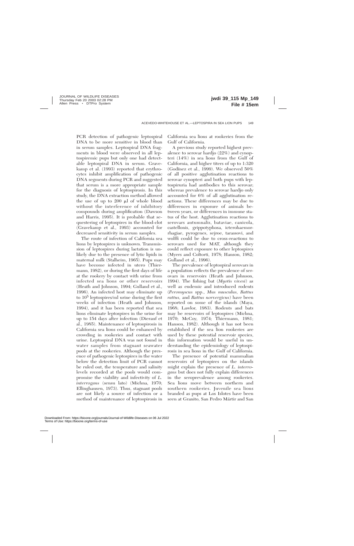PCR detection of pathogenic leptospiral DNA to be more sensitive in blood than in serum samples. Leptospiral DNA fragments in blood were observed in all leptospiremic pups but only one had detectable leptospiral DNA in serum. Gravekamp et al. (1993) reported that erythrocytes inhibit amplification of pathogenic DNA segments during PCR and suggested that serum is a more appropriate sample for the diagnosis of leptospirosis. In this study, the DNA extraction method allowed the use of up to  $200 \mu l$  of whole blood without the interference of inhibitory compounds during amplification (Dawson and Harris, 1995). It is probable that sequestering of leptospires in the blood-clot (Gravekamp et al., 1993) accounted for decreased sensitivity in serum samples.

The route of infection of California sea lions by leptospires is unknown. Transmission of leptospires during lactation is unlikely due to the presence of lytic lipids in maternal milk (Stalheim, 1965). Pups may have become infected in utero (Thiermann, 1982), or during the first days of life at the rookery by contact with urine from infected sea lions or other reservoirs (Heath and Johnson, 1994; Gulland et al., 1996). An infected host may eliminate up to 105 leptospires/ml urine during the first weeks of infection (Heath and Johnson, 1994), and it has been reported that sea lions eliminate leptospires in the urine for up to 154 days after infection (Dierauf et al., 1985). Maintenance of leptospirosis in California sea lions could be enhanced by crowding in rookeries and contact with urine. Leptospiral DNA was not found in water samples from stagnant seawater pools at the rookeries. Although the presence of pathogenic leptospires in the water below the detection limit of PCR cannot be ruled out, the temperature and salinity levels recorded at the pools would compromise the viability and infectivity of *L. interrogans* (sensu lato) (Michna, 1970; Ellinghausen, 1973). Thus, stagnant pools are not likely a source of infection or a method of maintenance of leptospirosis in

California sea lions at rookeries from the Gulf of California.

A previous study reported highest prevalence to serovar hardjo (22%) and cynopteri (14%) in sea lions from the Gulf of California, and higher titers of up to 1:320 (Godínez et al., 1999). We observed  $50\%$ of all positive agglutination reactions to serovar cynopteri and both pups with leptospiruria had antibodies to this serovar; whereas prevalence to serovar hardjo only accounted for 6% of all agglutination reactions. These differences may be due to differences in exposure of animals between years, or differences in immune status of the host. Agglutination reactions to serovars autumnalis, bataviae, canicola, castellonis, grippotyphosa, icterohaemorrhagiae, pyrogenes, sejroe, tarassovi, and wolffi could be due to cross-reactions to serovars used for MAT, although they could reflect exposure to other leptospires (Myers and Coltorti, 1978; Hanson, 1982; Gulland et al., 1996).

The prevalence of leptospiral serovars in a population reflects the prevalence of serovars in reservoirs (Heath and Johnson, 1994). The fishing bat (*Myotis vivesi*) as well as endemic and introduced rodents (*Peromyscus* spp., *Mus musculus, Rattus rattus,* and *Rattus norvergicus*) have been reported on some of the islands (Maya, 1968; Lawlor, 1983). Rodents and bats may be reservoirs of leptospires (Michna, 1970; McCoy, 1974; Thiermann, 1981; Hanson, 1982). Although it has not been established if the sea lion rookeries are used by these potential reservoir species, this information would be useful in understanding the epidemiology of leptospirosis in sea lions in the Gulf of California.

The presence of potential mammalian reservoirs of leptospires on the islands might explain the presence of *L. interrogans* but does not fully explain differences in the seroprevalence among rookeries. Sea lions move between northern and southern rookeries. Juvenile sea lions branded as pups at Los Islotes have been seen at Granito, San Pedro Mártir and San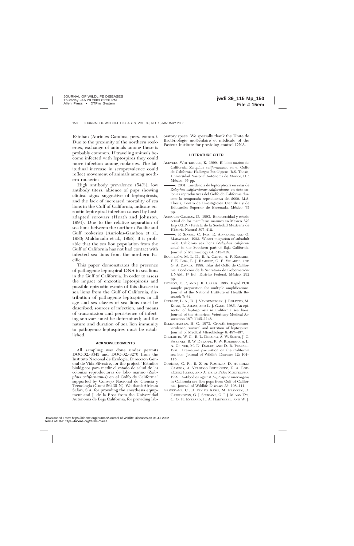Esteban (Aurioles-Gamboa, pers. comm.). Due to the proximity of the northern rookeries, exchange of animals among these is probably common. If traveling animals become infected with leptospires they could move infection among rookeries. The latitudinal increase in seroprevalence could reflect movement of animals among northern rookeries.

High antibody prevalence (54%), low antibody titers, absence of pups showing clinical signs suggestive of leptospirosis, and the lack of increased mortality of sea lions in the Gulf of California, indicate enzootic leptospiral infection caused by hostadapted serovars (Heath and Johnson, 1994). Due to the relative separation of sea lions between the northern Pacific and Gulf rookeries (Aurioles-Gamboa et al., 1983; Maldonado et al., 1995), it is probable that the sea lion population from the Gulf of California has not had contact with infected sea lions from the northern Pacific.

This paper demonstrates the presence of pathogenic leptospiral DNA in sea lions in the Gulf of California. In order to assess the impact of enzootic leptospirosis and possible epizootic events of this disease in sea lions from the Gulf of California, distribution of pathogenic leptospires in all age and sex classes of sea lions must be described; sources of infection, and means of transmission and persistence of infecting serovars must be determined; and the nature and duration of sea lion immunity to pathogenic leptospires must be established.

# **ACKNOWLEDGMENTS**

All sampling was done under permits DOO.02.-3345 and DOO.02.-3270 from the Instituto Nacional de Ecología, Dirección General de Vida Silvestre, for the project ''Estudios biolo´gicos para medir el estado de salud de las colonias reproductoras de lobo marino (*Zalophus californianus*) en el Golfo de California'' supported by Consejo Nacional de Ciencia y Tecnología (Grant 26430-N). We thank Africam Safari, S.A. for providing the anesthesia equipment and J. de la Rosa from the Universidad Autónoma de Baja California, for providing laboratory space. We specially thank the Unité de Bactériologie moléculaire et médicale of the Pasteur Institute for providing control DNA.

# **LITERATURE CITED**

- ACEVEDO-WHITEHOUSE, K. 1999. El lobo marino de California, *Zalophus californianus,* en el Golfo de California: Hallazgos Patológicos. B.S. Thesis, Universidad Nacional Autónoma de México, DF, México, 65 pp.
- -. 2001. Incidencia de leptospirosis en crías de *Zalophus californianus californianus* en siete colonias reproductivas del Golfo de California durante la temporada reproductiva del 2000. M.S. Thesis, Centro de Investigación Científica y de Educación Superior de Ensenada, México, 75 pp.
- AURIOLES-GAMBOA, D. 1993. Biodiversidad y estado actual de los mamíferos marinos en México. Vol Esp (XLIV) Revista de la Sociedad Mexicana de Historia Natural 397–412.
- , F. SINSEL, C. FOX, E. ALVARADO, AND O. MARAVILLA. 1983. Winter migration of subadult male California sea lions (*Zalophus californianus*) in the Southern part of Baja California. Journal of Mammalogy 64: 513–518.
- BOURILLÓN, M. L. D., B. A. CANTU, A. F. ECCARDI, F. E. LIRA, R. J. RAMIREZ, G. E. VELARDE, AND G. A. ZAVALA. 1988. Islas del Golfo de California. Coedición de la Secretaría de Gobernación/ UNAM, 1ª Ed., Distrito Federal, México, 292 pp.
- DAWSON, E. P., AND J. R. HARRIS. 1995. Rapid PCR sample preparation for multiple amplifications. Journal of the National Institute of Health Research 7: 64.
- DIERAUF, L. A., D. J. VANDENBROEK, J. ROLETTO, M. KOSKI, L. AMAYA, AND L. J. GAGE. 1985. An epizootic of leptospirosis in California sea lions. Journal of the American Veterinary Medical Association 187: 1145–1148.
- ELLINGHAUSEN, H. C. 1973. Growth temperatures, virulence, survival and nutrition of leptospires. Journal of Medical Microbiology 6: 487–497.
- GILMARTIN, W. G., R. L. DELONG, A. W. SMITH, J. C. SWEENEY, B. W. DELAPPE, R. W. RISEBROUGH, L. A. GRINER, M. D. DAILEY, AND D. B. PEAKALL. 1976. Premature parturition on the California sea lion. Journal of Wildlife Diseases 12: 104– 115.
- GODI´NEZ, C. R., B. Z DE ROMILLO, D. AURIOLES GAMBOA, A. VERDUGO RODRÍGUEZ, E. A. ROD-RÍGUEZ REYES, AND A. DE LA PEÑA MOCTEZUMA. 1999. Antibodies against *Leptospira interrogans* in California sea lion pups from Gulf of California. Journal of Wildlife Diseases 35: 108–111.
- GRAVEKAMP, C., H. VAN DE KEMP, M. FRANZEN, D. CARRINGTON, G. J. SCHOANE, G. J. J. M. VAN EYS, C. O. R. EVERARD, R. A. HARTSKEEL, AND W. J.